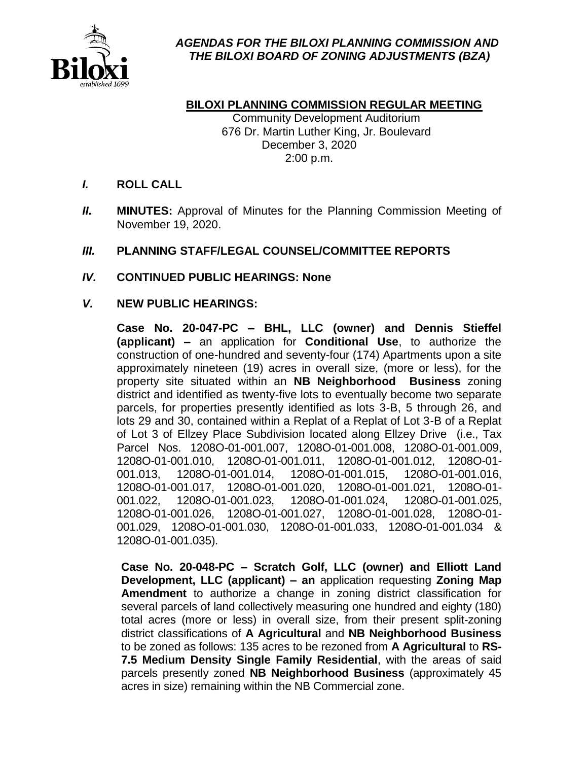

# **BILOXI PLANNING COMMISSION REGULAR MEETING**

Community Development Auditorium 676 Dr. Martin Luther King, Jr. Boulevard December 3, 2020 2:00 p.m.

## I. **ROLL CALL**

II. **MINUTES:** Approval of Minutes for the Planning Commission Meeting of November 19, 2020.

## III. **PLANNING STAFF/LEGAL COUNSEL/COMMITTEE REPORTS**

## IV. **CONTINUED PUBLIC HEARINGS: None**

### V. **NEW PUBLIC HEARINGS:**

**Case No. 20-047-PC – BHL, LLC (owner) and Dennis Stieffel (applicant) –** an application for **Conditional Use**, to authorize the construction of one-hundred and seventy-four (174) Apartments upon a site approximately nineteen (19) acres in overall size, (more or less), for the property site situated within an **NB Neighborhood Business** zoning district and identified as twenty-five lots to eventually become two separate parcels, for properties presently identified as lots 3-B, 5 through 26, and lots 29 and 30, contained within a Replat of a Replat of Lot 3-B of a Replat of Lot 3 of Ellzey Place Subdivision located along Ellzey Drive (i.e., Tax Parcel Nos. 1208O-01-001.007, 1208O-01-001.008, 1208O-01-001.009, 1208O-01-001.010, 1208O-01-001.011, 1208O-01-001.012, 1208O-01- 001.013, 1208O-01-001.014, 1208O-01-001.015, 1208O-01-001.016, 1208O-01-001.017, 1208O-01-001.020, 1208O-01-001.021, 1208O-01- 001.022, 1208O-01-001.023, 1208O-01-001.024, 1208O-01-001.025, 1208O-01-001.026, 1208O-01-001.027, 1208O-01-001.028, 1208O-01- 001.029, 1208O-01-001.030, 1208O-01-001.033, 1208O-01-001.034 & 1208O-01-001.035).

**Case No. 20-048-PC – Scratch Golf, LLC (owner) and Elliott Land Development, LLC (applicant) – an** application requesting **Zoning Map Amendment** to authorize a change in zoning district classification for several parcels of land collectively measuring one hundred and eighty (180) total acres (more or less) in overall size, from their present split-zoning district classifications of **A Agricultural** and **NB Neighborhood Business**  to be zoned as follows: 135 acres to be rezoned from **A Agricultural** to **RS-7.5 Medium Density Single Family Residential**, with the areas of said parcels presently zoned **NB Neighborhood Business** (approximately 45 acres in size) remaining within the NB Commercial zone.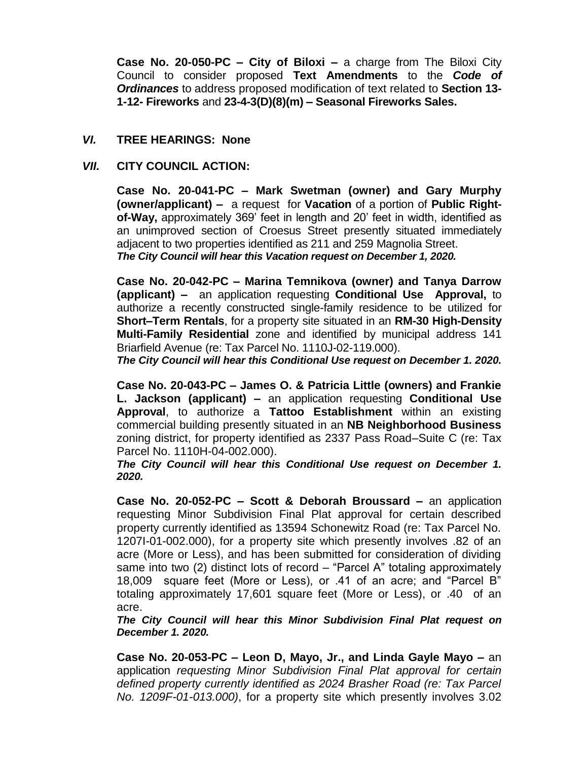**Case No. 20-050-PC – City of Biloxi –** a charge from The Biloxi City Council to consider proposed **Text Amendments** to the *Code of Ordinances* to address proposed modification of text related to **Section 13- 1-12- Fireworks** and **23-4-3(D)(8)(m) – Seasonal Fireworks Sales.**

#### VI. **TREE HEARINGS: None**

#### VII. **CITY COUNCIL ACTION:**

**Case No. 20-041-PC – Mark Swetman (owner) and Gary Murphy (owner/applicant) –** a request for **Vacation** of a portion of **Public Rightof-Way,** approximately 369' feet in length and 20' feet in width, identified as an unimproved section of Croesus Street presently situated immediately adjacent to two properties identified as 211 and 259 Magnolia Street. *The City Council will hear this Vacation request on December 1, 2020.*

**Case No. 20-042-PC – Marina Temnikova (owner) and Tanya Darrow (applicant) –** an application requesting **Conditional Use Approval,** to authorize a recently constructed single-family residence to be utilized for **Short–Term Rentals**, for a property site situated in an **RM-30 High-Density Multi-Family Residential** zone and identified by municipal address 141 Briarfield Avenue (re: Tax Parcel No. 1110J-02-119.000).

*The City Council will hear this Conditional Use request on December 1. 2020.*

**Case No. 20-043-PC – James O. & Patricia Little (owners) and Frankie L. Jackson (applicant) –** an application requesting **Conditional Use Approval**, to authorize a **Tattoo Establishment** within an existing commercial building presently situated in an **NB Neighborhood Business** zoning district, for property identified as 2337 Pass Road–Suite C (re: Tax Parcel No. 1110H-04-002.000).

*The City Council will hear this Conditional Use request on December 1. 2020.*

**Case No. 20-052-PC – Scott & Deborah Broussard –** an application requesting Minor Subdivision Final Plat approval for certain described property currently identified as 13594 Schonewitz Road (re: Tax Parcel No. 1207I-01-002.000), for a property site which presently involves .82 of an acre (More or Less), and has been submitted for consideration of dividing same into two (2) distinct lots of record – "Parcel A" totaling approximately 18,009 square feet (More or Less), or .41 of an acre; and "Parcel B" totaling approximately 17,601 square feet (More or Less), or .40 of an acre.

*The City Council will hear this Minor Subdivision Final Plat request on December 1. 2020.*

**Case No. 20-053-PC – Leon D, Mayo, Jr., and Linda Gayle Mayo –** an application *requesting Minor Subdivision Final Plat approval for certain defined property currently identified as 2024 Brasher Road (re: Tax Parcel No. 1209F-01-013.000)*, for a property site which presently involves 3.02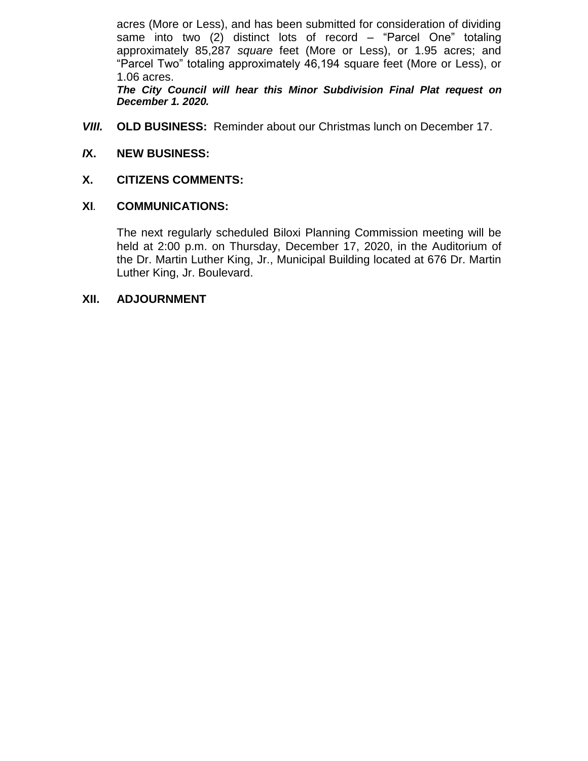acres (More or Less), and has been submitted for consideration of dividing same into two (2) distinct lots of record – "Parcel One" totaling approximately 85,287 *square* feet (More or Less), or 1.95 acres; and "Parcel Two" totaling approximately 46,194 square feet (More or Less), or 1.06 acres.

*The City Council will hear this Minor Subdivision Final Plat request on December 1. 2020.*

VIII. **OLD BUSINESS:** Reminder about our Christmas lunch on December 17.

## *I***X. NEW BUSINESS:**

### **X. CITIZENS COMMENTS:**

### **XI***.* **COMMUNICATIONS:**

The next regularly scheduled Biloxi Planning Commission meeting will be held at 2:00 p.m. on Thursday, December 17, 2020, in the Auditorium of the Dr. Martin Luther King, Jr., Municipal Building located at 676 Dr. Martin Luther King, Jr. Boulevard.

#### **XII. ADJOURNMENT**